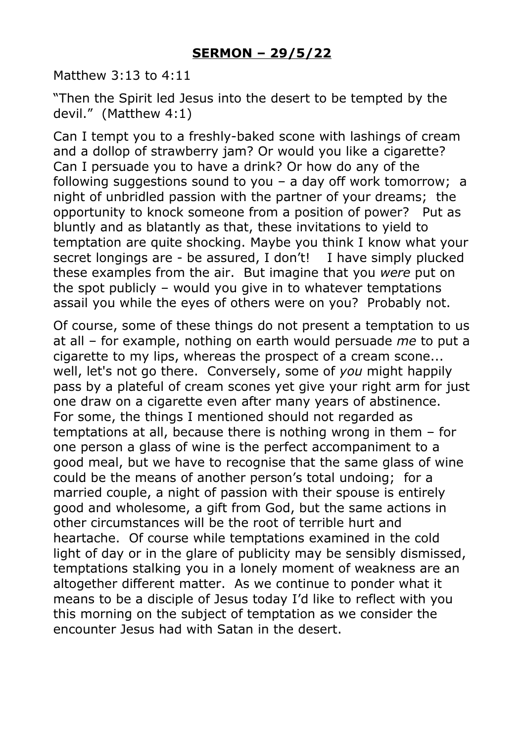Matthew 3:13 to 4:11

"Then the Spirit led Jesus into the desert to be tempted by the devil." (Matthew 4:1)

Can I tempt you to a freshly-baked scone with lashings of cream and a dollop of strawberry jam? Or would you like a cigarette? Can I persuade you to have a drink? Or how do any of the following suggestions sound to you – a day off work tomorrow; a night of unbridled passion with the partner of your dreams; the opportunity to knock someone from a position of power? Put as bluntly and as blatantly as that, these invitations to yield to temptation are quite shocking. Maybe you think I know what your secret longings are - be assured, I don't! I have simply plucked these examples from the air. But imagine that you *were* put on the spot publicly – would you give in to whatever temptations assail you while the eyes of others were on you? Probably not.

Of course, some of these things do not present a temptation to us at all – for example, nothing on earth would persuade *me* to put a cigarette to my lips, whereas the prospect of a cream scone... well, let's not go there. Conversely, some of *you* might happily pass by a plateful of cream scones yet give your right arm for just one draw on a cigarette even after many years of abstinence. For some, the things I mentioned should not regarded as temptations at all, because there is nothing wrong in them – for one person a glass of wine is the perfect accompaniment to a good meal, but we have to recognise that the same glass of wine could be the means of another person's total undoing; for a married couple, a night of passion with their spouse is entirely good and wholesome, a gift from God, but the same actions in other circumstances will be the root of terrible hurt and heartache. Of course while temptations examined in the cold light of day or in the glare of publicity may be sensibly dismissed, temptations stalking you in a lonely moment of weakness are an altogether different matter. As we continue to ponder what it means to be a disciple of Jesus today I'd like to reflect with you this morning on the subject of temptation as we consider the encounter Jesus had with Satan in the desert.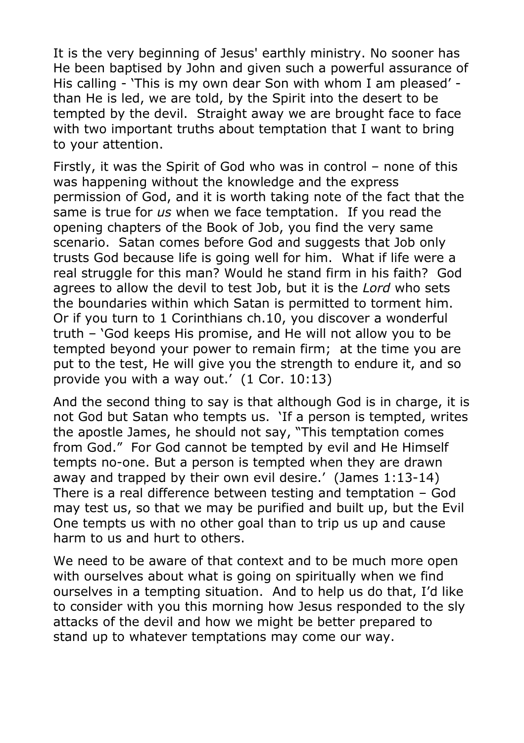It is the very beginning of Jesus' earthly ministry. No sooner has He been baptised by John and given such a powerful assurance of His calling - 'This is my own dear Son with whom I am pleased' than He is led, we are told, by the Spirit into the desert to be tempted by the devil. Straight away we are brought face to face with two important truths about temptation that I want to bring to your attention.

Firstly, it was the Spirit of God who was in control – none of this was happening without the knowledge and the express permission of God, and it is worth taking note of the fact that the same is true for *us* when we face temptation. If you read the opening chapters of the Book of Job, you find the very same scenario. Satan comes before God and suggests that Job only trusts God because life is going well for him. What if life were a real struggle for this man? Would he stand firm in his faith? God agrees to allow the devil to test Job, but it is the *Lord* who sets the boundaries within which Satan is permitted to torment him. Or if you turn to 1 Corinthians ch.10, you discover a wonderful truth – 'God keeps His promise, and He will not allow you to be tempted beyond your power to remain firm; at the time you are put to the test, He will give you the strength to endure it, and so provide you with a way out.' (1 Cor. 10:13)

And the second thing to say is that although God is in charge, it is not God but Satan who tempts us. 'If a person is tempted, writes the apostle James, he should not say, "This temptation comes from God." For God cannot be tempted by evil and He Himself tempts no-one. But a person is tempted when they are drawn away and trapped by their own evil desire.' (James 1:13-14) There is a real difference between testing and temptation – God may test us, so that we may be purified and built up, but the Evil One tempts us with no other goal than to trip us up and cause harm to us and hurt to others.

We need to be aware of that context and to be much more open with ourselves about what is going on spiritually when we find ourselves in a tempting situation. And to help us do that, I'd like to consider with you this morning how Jesus responded to the sly attacks of the devil and how we might be better prepared to stand up to whatever temptations may come our way.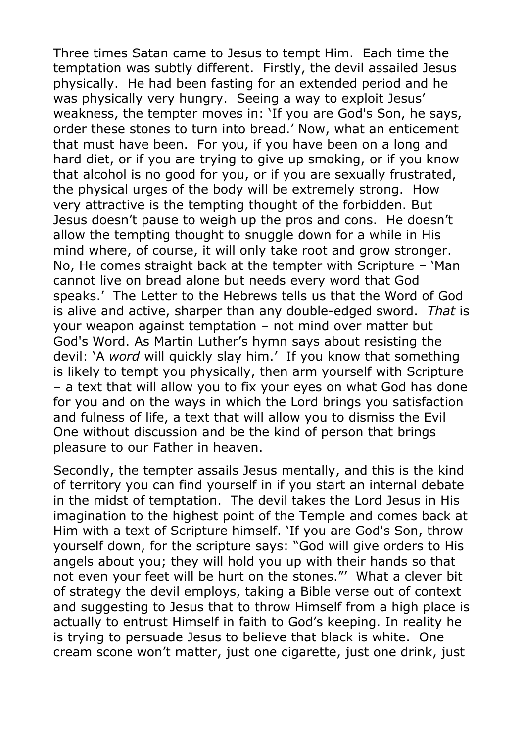Three times Satan came to Jesus to tempt Him. Each time the temptation was subtly different. Firstly, the devil assailed Jesus physically. He had been fasting for an extended period and he was physically very hungry. Seeing a way to exploit Jesus' weakness, the tempter moves in: 'If you are God's Son, he says, order these stones to turn into bread.' Now, what an enticement that must have been. For you, if you have been on a long and hard diet, or if you are trying to give up smoking, or if you know that alcohol is no good for you, or if you are sexually frustrated, the physical urges of the body will be extremely strong. How very attractive is the tempting thought of the forbidden. But Jesus doesn't pause to weigh up the pros and cons. He doesn't allow the tempting thought to snuggle down for a while in His mind where, of course, it will only take root and grow stronger. No, He comes straight back at the tempter with Scripture – 'Man cannot live on bread alone but needs every word that God speaks.' The Letter to the Hebrews tells us that the Word of God is alive and active, sharper than any double-edged sword. *That* is your weapon against temptation – not mind over matter but God's Word. As Martin Luther's hymn says about resisting the devil: 'A *word* will quickly slay him.' If you know that something is likely to tempt you physically, then arm yourself with Scripture – a text that will allow you to fix your eyes on what God has done for you and on the ways in which the Lord brings you satisfaction and fulness of life, a text that will allow you to dismiss the Evil One without discussion and be the kind of person that brings pleasure to our Father in heaven.

Secondly, the tempter assails Jesus mentally, and this is the kind of territory you can find yourself in if you start an internal debate in the midst of temptation. The devil takes the Lord Jesus in His imagination to the highest point of the Temple and comes back at Him with a text of Scripture himself. 'If you are God's Son, throw yourself down, for the scripture says: "God will give orders to His angels about you; they will hold you up with their hands so that not even your feet will be hurt on the stones."' What a clever bit of strategy the devil employs, taking a Bible verse out of context and suggesting to Jesus that to throw Himself from a high place is actually to entrust Himself in faith to God's keeping. In reality he is trying to persuade Jesus to believe that black is white. One cream scone won't matter, just one cigarette, just one drink, just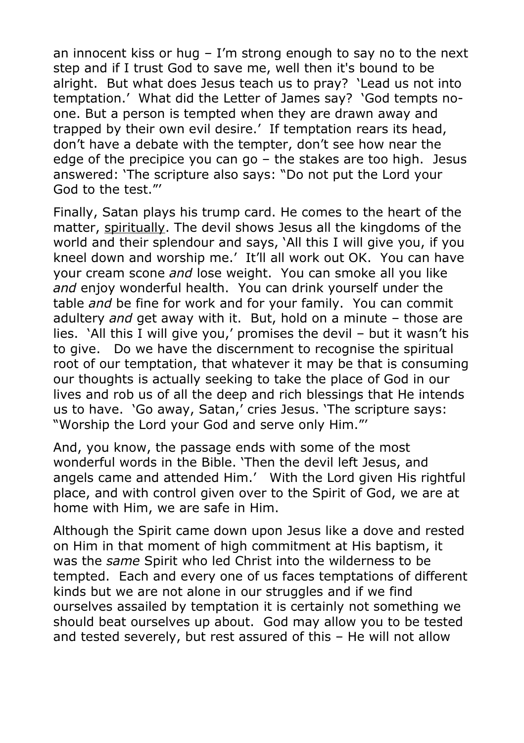an innocent kiss or hug – I'm strong enough to say no to the next step and if I trust God to save me, well then it's bound to be alright. But what does Jesus teach us to pray? 'Lead us not into temptation.' What did the Letter of James say? 'God tempts noone. But a person is tempted when they are drawn away and trapped by their own evil desire.' If temptation rears its head, don't have a debate with the tempter, don't see how near the edge of the precipice you can go – the stakes are too high. Jesus answered: 'The scripture also says: "Do not put the Lord your God to the test."'

Finally, Satan plays his trump card. He comes to the heart of the matter, spiritually. The devil shows Jesus all the kingdoms of the world and their splendour and says, 'All this I will give you, if you kneel down and worship me.' It'll all work out OK. You can have your cream scone *and* lose weight. You can smoke all you like *and* enjoy wonderful health. You can drink yourself under the table *and* be fine for work and for your family. You can commit adultery *and* get away with it. But, hold on a minute – those are lies. 'All this I will give you,' promises the devil – but it wasn't his to give. Do we have the discernment to recognise the spiritual root of our temptation, that whatever it may be that is consuming our thoughts is actually seeking to take the place of God in our lives and rob us of all the deep and rich blessings that He intends us to have. 'Go away, Satan,' cries Jesus. 'The scripture says: "Worship the Lord your God and serve only Him."'

And, you know, the passage ends with some of the most wonderful words in the Bible. 'Then the devil left Jesus, and angels came and attended Him.' With the Lord given His rightful place, and with control given over to the Spirit of God, we are at home with Him, we are safe in Him.

Although the Spirit came down upon Jesus like a dove and rested on Him in that moment of high commitment at His baptism, it was the *same* Spirit who led Christ into the wilderness to be tempted. Each and every one of us faces temptations of different kinds but we are not alone in our struggles and if we find ourselves assailed by temptation it is certainly not something we should beat ourselves up about. God may allow you to be tested and tested severely, but rest assured of this – He will not allow